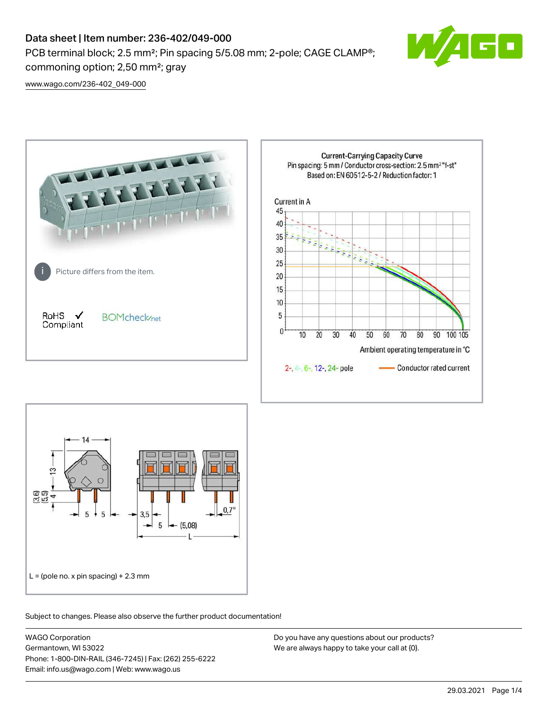# Data sheet | Item number: 236-402/049-000

PCB terminal block; 2.5 mm<sup>2</sup>; Pin spacing 5/5.08 mm; 2-pole; CAGE CLAMP<sup>®</sup>; commoning option; 2,50 mm²; gray



[www.wago.com/236-402\\_049-000](http://www.wago.com/236-402_049-000)





Subject to changes. Please also observe the further product documentation!

WAGO Corporation Germantown, WI 53022 Phone: 1-800-DIN-RAIL (346-7245) | Fax: (262) 255-6222 Email: info.us@wago.com | Web: www.wago.us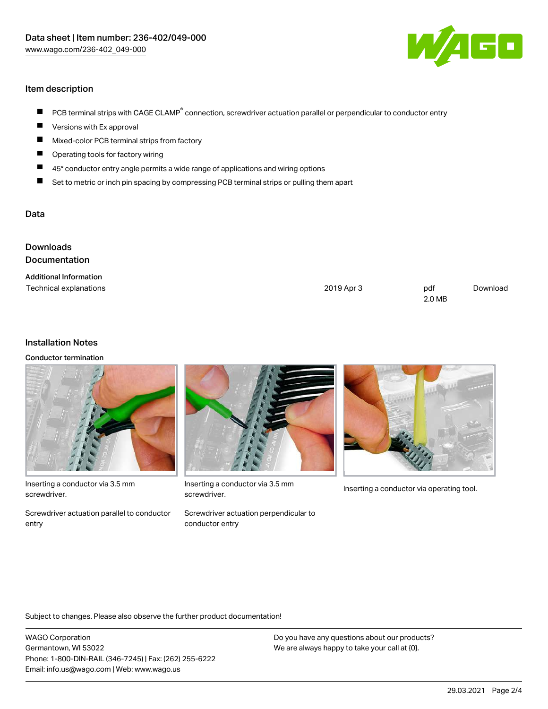

## Item description

- PCB terminal strips with CAGE CLAMP<sup>®</sup> connection, screwdriver actuation parallel or perpendicular to conductor entry  $\blacksquare$
- Versions with Ex approval П
- $\blacksquare$ Mixed-color PCB terminal strips from factory
- $\blacksquare$ Operating tools for factory wiring
- $\blacksquare$ 45° conductor entry angle permits a wide range of applications and wiring options
- П Set to metric or inch pin spacing by compressing PCB terminal strips or pulling them apart

#### Data

| Downloads<br><b>Documentation</b> |            |               |          |
|-----------------------------------|------------|---------------|----------|
| <b>Additional Information</b>     |            |               |          |
| Technical explanations            | 2019 Apr 3 | pdf<br>2.0 MB | Download |

### Installation Notes

Conductor termination



Inserting a conductor via 3.5 mm screwdriver.

Screwdriver actuation parallel to conductor entry



Inserting a conductor via 3.5 mm<br>Inserting a conductor via operating tool. screwdriver.

Screwdriver actuation perpendicular to conductor entry



Subject to changes. Please also observe the further product documentation!

WAGO Corporation Germantown, WI 53022 Phone: 1-800-DIN-RAIL (346-7245) | Fax: (262) 255-6222 Email: info.us@wago.com | Web: www.wago.us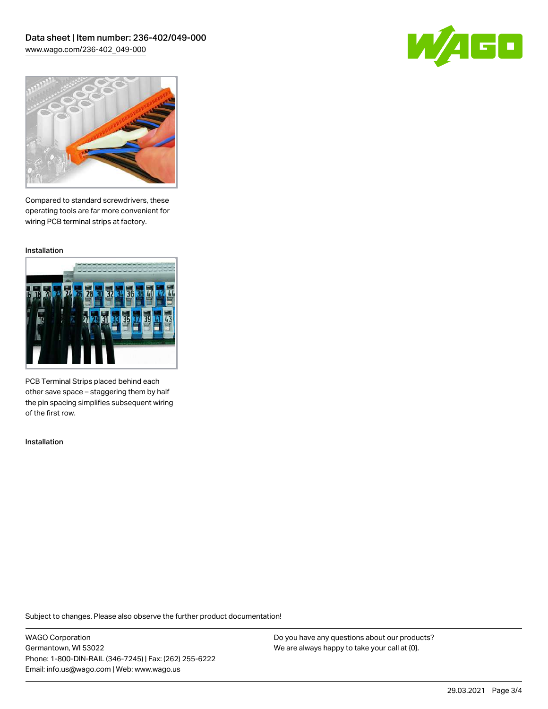Data sheet | Item number: 236-402/049-000 [www.wago.com/236-402\\_049-000](http://www.wago.com/236-402_049-000)





Compared to standard screwdrivers, these operating tools are far more convenient for wiring PCB terminal strips at factory.

Installation



PCB Terminal Strips placed behind each other save space – staggering them by half the pin spacing simplifies subsequent wiring of the first row.

Installation

Subject to changes. Please also observe the further product documentation!

WAGO Corporation Germantown, WI 53022 Phone: 1-800-DIN-RAIL (346-7245) | Fax: (262) 255-6222 Email: info.us@wago.com | Web: www.wago.us